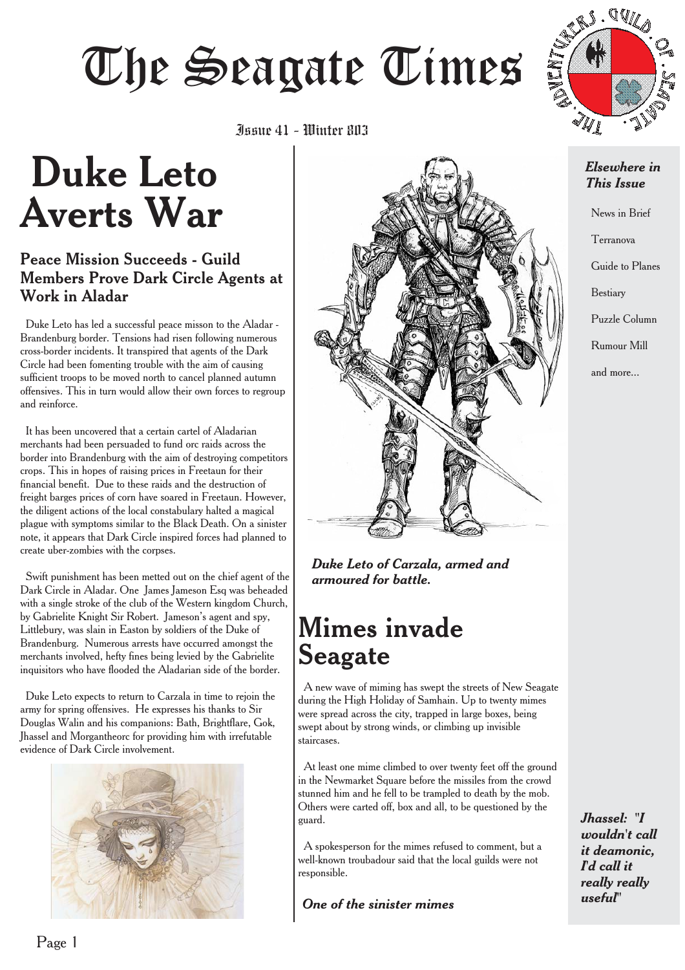# June 41 - Winter 803<br>Iunie 41 - Winter 803



## Issue 41 - Winter 803

# **Duke Leto Averts War**

#### Peace Mission Succeeds - Guild Members Prove Dark Circle Agents at Work in Aladar

Duke Leto has led a successful peace misson to the Aladar - Brandenburg border. Tensions had risen following numerous cross-border incidents. It transpired that agents of the Dark Circle had been fomenting trouble with the aim of causing sufficient troops to be moved north to cancel planned autumn offensives. This in turn would allow their own forces to regroup and reinforce.

It has been uncovered that a certain cartel of Aladarian merchants had been persuaded to fund orc raids across the border into Brandenburg with the aim of destroying competitors crops. This in hopes of raising prices in Freetaun for their financial benefit. Due to these raids and the destruction of freight barges prices of corn have soared in Freetaun. However, the diligent actions of the local constabulary halted a magical plague with symptoms similar to the Black Death. On a sinister note, it appears that Dark Circle inspired forces had planned to create uber-zombies with the corpses.

Swift punishment has been metted out on the chief agent of the Dark Circle in Aladar. One James Jameson Esq was beheaded with a single stroke of the club of the Western kingdom Church, by Gabrielite Knight Sir Robert. Jameson's agent and spy, Littlebury, was slain in Easton by soldiers of the Duke of Brandenburg. Numerous arrests have occurred amongst the merchants involved, hefty fines being levied by the Gabrielite inquisitors who have flooded the Aladarian side of the border.

Duke Leto expects to return to Carzala in time to rejoin the army for spring offensives. He expresses his thanks to Sir Douglas Walin and his companions: Bath, Brightflare, Gok, Jhassel and Morgantheorc for providing him with irrefutable evidence of Dark Circle involvement.





*Duke Leto of Carzala, armed and armoured for battle.*

## **Mimes invade Seagate**

A new wave of miming has swept the streets of New Seagate during the High Holiday of Samhain. Up to twenty mimes were spread across the city, trapped in large boxes, being swept about by strong winds, or climbing up invisible staircases.

At least one mime climbed to over twenty feet off the ground in the Newmarket Square before the missiles from the crowd stunned him and he fell to be trampled to death by the mob. Others were carted off, box and all, to be questioned by the guard.

A spokesperson for the mimes refused to comment, but a well-known troubadour said that the local guilds were not responsible.

*useful" One of the sinister mimes*

#### *Elsewhere in This Issue*

News in Brief

Terranova

Guide to Planes

Bestiary

Puzzle Column

Rumour Mill

and more...

*Jhassel: "I wouldn't call it deamonic, I'd call it really really*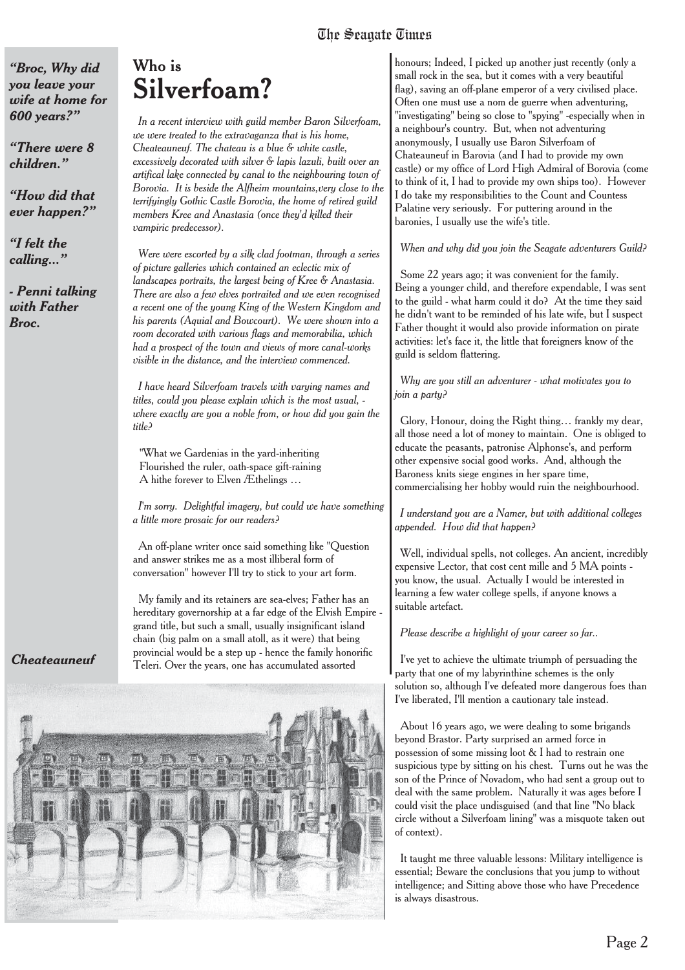*"Broc, Why did you leave your wife at home for 600 years?"*

*"There were 8 children."*

*"How did that ever happen?"*

*"I felt the calling..."*

*- Penni talking with Father Broc.*

#### *Who is* **Silverfoam?**

*In a recent interview with guild member Baron Silverfoam, we were treated to the extravaganza that is his home, Cheateauneuf. The chateau is a blue & white castle, excessively decorated with silver & lapis lazuli, built over an artifical lake connected by canal to the neighbouring town of Borovia. It is beside the Alfheim mountains,very close to the terrifyingly Gothic Castle Borovia, the home of retired guild members Kree and Anastasia (once they'd killed their vampiric predecessor).*

*Were were escorted by a silk clad footman, through a series of picture galleries which contained an eclectic mix of landscapes portraits, the largest being of Kree & Anastasia. There are also a few elves portraited and we even recognised a recent one of the young King of the Western Kingdom and his parents (Aquial and Bowcourt). We were shown into a room decorated with various flags and memorabilia, which had a prospect of the town and views of more canal-works visible in the distance, and the interview commenced.*

*I have heard Silverfoam travels with varying names and titles, could you please explain which is the most usual, where exactly are you a noble from, or how did you gain the title?*

"What we Gardenias in the yard-inheriting Flourished the ruler, oath-space gift-raining A hithe forever to Elven Æthelings …

*I'm sorry. Delightful imagery, but could we have something a little more prosaic for our readers?*

An off-plane writer once said something like "Question and answer strikes me as a most illiberal form of conversation" however I'll try to stick to your art form.

My family and its retainers are sea-elves; Father has an hereditary governorship at a far edge of the Elvish Empire grand title, but such a small, usually insignificant island chain (big palm on a small atoll, as it were) that being provincial would be a step up - hence the family honorific Teleri. Over the years, one has accumulated assorted



honours; Indeed, I picked up another just recently (only a small rock in the sea, but it comes with a very beautiful flag), saving an off-plane emperor of a very civilised place. Often one must use a nom de guerre when adventuring, "investigating" being so close to "spying" -especially when in a neighbour's country. But, when not adventuring anonymously, I usually use Baron Silverfoam of Chateauneuf in Barovia (and I had to provide my own castle) or my office of Lord High Admiral of Borovia (come to think of it, I had to provide my own ships too). However I do take my responsibilities to the Count and Countess Palatine very seriously. For puttering around in the baronies, I usually use the wife's title.

*When and why did you join the Seagate adventurers Guild?*

Some 22 years ago; it was convenient for the family. Being a younger child, and therefore expendable, I was sent to the guild - what harm could it do? At the time they said he didn't want to be reminded of his late wife, but I suspect Father thought it would also provide information on pirate activities: let's face it, the little that foreigners know of the guild is seldom flattering.

*Why are you still an adventurer - what motivates you to join a party?*

Glory, Honour, doing the Right thing… frankly my dear, all those need a lot of money to maintain. One is obliged to educate the peasants, patronise Alphonse's, and perform other expensive social good works. And, although the Baroness knits siege engines in her spare time, commercialising her hobby would ruin the neighbourhood.

*I understand you are a Namer, but with additional colleges appended. How did that happen?*

Well, individual spells, not colleges. An ancient, incredibly expensive Lector, that cost cent mille and 5 MA points you know, the usual. Actually I would be interested in learning a few water college spells, if anyone knows a suitable artefact.

#### *Please describe a highlight of your career so far..*

I've yet to achieve the ultimate triumph of persuading the party that one of my labyrinthine schemes is the only solution so, although I've defeated more dangerous foes than I've liberated, I'll mention a cautionary tale instead.

About 16 years ago, we were dealing to some brigands beyond Brastor. Party surprised an armed force in possession of some missing loot & I had to restrain one suspicious type by sitting on his chest. Turns out he was the son of the Prince of Novadom, who had sent a group out to deal with the same problem. Naturally it was ages before I could visit the place undisguised (and that line "No black circle without a Silverfoam lining" was a misquote taken out of context).

It taught me three valuable lessons: Military intelligence is essential; Beware the conclusions that you jump to without intelligence; and Sitting above those who have Precedence is always disastrous.

#### *Cheateauneuf*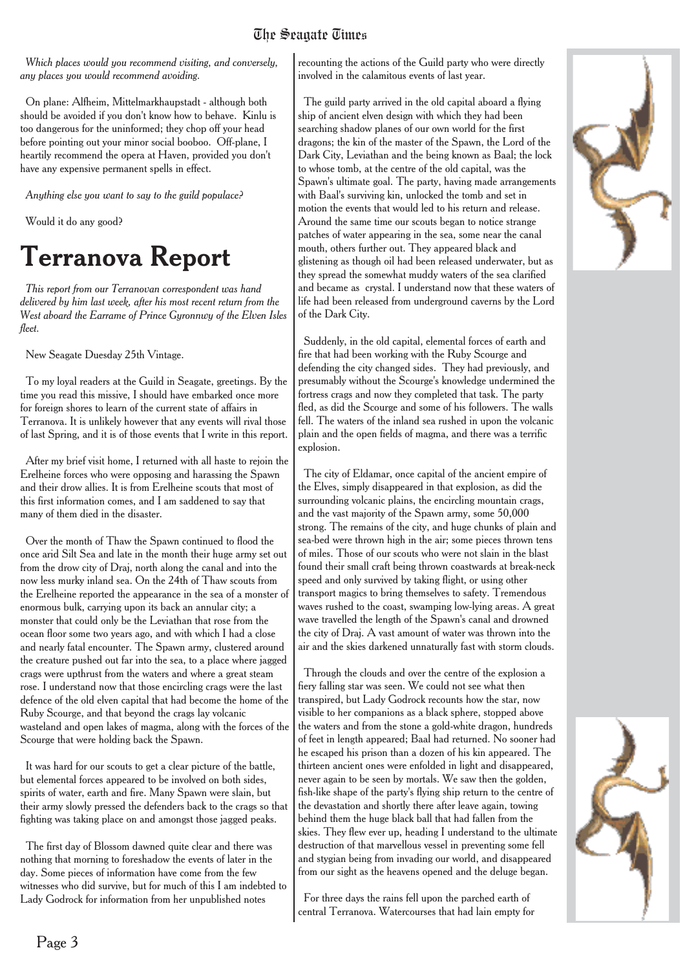*Which places would you recommend visiting, and conversely, any places you would recommend avoiding.*

On plane: Alfheim, Mittelmarkhaupstadt - although both should be avoided if you don't know how to behave. Kinlu is too dangerous for the uninformed; they chop off your head before pointing out your minor social booboo. Off-plane, I heartily recommend the opera at Haven, provided you don't have any expensive permanent spells in effect.

*Anything else you want to say to the guild populace?*

Would it do any good?

## **Terranova Report**

*This report from our Terranovan correspondent was hand delivered by him last week, after his most recent return from the West aboard the Earrame of Prince Gyronnwy of the Elven Isles fleet.*

New Seagate Duesday 25th Vintage.

To my loyal readers at the Guild in Seagate, greetings. By the time you read this missive, I should have embarked once more for foreign shores to learn of the current state of affairs in Terranova. It is unlikely however that any events will rival those of last Spring, and it is of those events that I write in this report.

After my brief visit home, I returned with all haste to rejoin the Erelheine forces who were opposing and harassing the Spawn and their drow allies. It is from Erelheine scouts that most of this first information comes, and I am saddened to say that many of them died in the disaster.

Over the month of Thaw the Spawn continued to flood the once arid Silt Sea and late in the month their huge army set out from the drow city of Draj, north along the canal and into the now less murky inland sea. On the 24th of Thaw scouts from the Erelheine reported the appearance in the sea of a monster of enormous bulk, carrying upon its back an annular city; a monster that could only be the Leviathan that rose from the ocean floor some two years ago, and with which I had a close and nearly fatal encounter. The Spawn army, clustered around the creature pushed out far into the sea, to a place where jagged crags were upthrust from the waters and where a great steam rose. I understand now that those encircling crags were the last defence of the old elven capital that had become the home of the Ruby Scourge, and that beyond the crags lay volcanic wasteland and open lakes of magma, along with the forces of the Scourge that were holding back the Spawn.

It was hard for our scouts to get a clear picture of the battle, but elemental forces appeared to be involved on both sides, spirits of water, earth and fire. Many Spawn were slain, but their army slowly pressed the defenders back to the crags so that fighting was taking place on and amongst those jagged peaks.

The first day of Blossom dawned quite clear and there was nothing that morning to foreshadow the events of later in the day. Some pieces of information have come from the few witnesses who did survive, but for much of this I am indebted to Lady Godrock for information from her unpublished notes

recounting the actions of the Guild party who were directly involved in the calamitous events of last year.

The guild party arrived in the old capital aboard a flying ship of ancient elven design with which they had been searching shadow planes of our own world for the first dragons; the kin of the master of the Spawn, the Lord of the Dark City, Leviathan and the being known as Baal; the lock to whose tomb, at the centre of the old capital, was the Spawn's ultimate goal. The party, having made arrangements with Baal's surviving kin, unlocked the tomb and set in motion the events that would led to his return and release. Around the same time our scouts began to notice strange patches of water appearing in the sea, some near the canal mouth, others further out. They appeared black and glistening as though oil had been released underwater, but as they spread the somewhat muddy waters of the sea clarified and became as crystal. I understand now that these waters of life had been released from underground caverns by the Lord of the Dark City.

Suddenly, in the old capital, elemental forces of earth and fire that had been working with the Ruby Scourge and defending the city changed sides. They had previously, and presumably without the Scourge's knowledge undermined the fortress crags and now they completed that task. The party fled, as did the Scourge and some of his followers. The walls fell. The waters of the inland sea rushed in upon the volcanic plain and the open fields of magma, and there was a terrific explosion.

The city of Eldamar, once capital of the ancient empire of the Elves, simply disappeared in that explosion, as did the surrounding volcanic plains, the encircling mountain crags, and the vast majority of the Spawn army, some 50,000 strong. The remains of the city, and huge chunks of plain and sea-bed were thrown high in the air; some pieces thrown tens of miles. Those of our scouts who were not slain in the blast found their small craft being thrown coastwards at break-neck speed and only survived by taking flight, or using other transport magics to bring themselves to safety. Tremendous waves rushed to the coast, swamping low-lying areas. A great wave travelled the length of the Spawn's canal and drowned the city of Draj. A vast amount of water was thrown into the air and the skies darkened unnaturally fast with storm clouds.

Through the clouds and over the centre of the explosion a fiery falling star was seen. We could not see what then transpired, but Lady Godrock recounts how the star, now visible to her companions as a black sphere, stopped above the waters and from the stone a gold-white dragon, hundreds of feet in length appeared; Baal had returned. No sooner had he escaped his prison than a dozen of his kin appeared. The thirteen ancient ones were enfolded in light and disappeared, never again to be seen by mortals. We saw then the golden, fish-like shape of the party's flying ship return to the centre of the devastation and shortly there after leave again, towing behind them the huge black ball that had fallen from the skies. They flew ever up, heading I understand to the ultimate destruction of that marvellous vessel in preventing some fell and stygian being from invading our world, and disappeared from our sight as the heavens opened and the deluge began.

For three days the rains fell upon the parched earth of central Terranova. Watercourses that had lain empty for



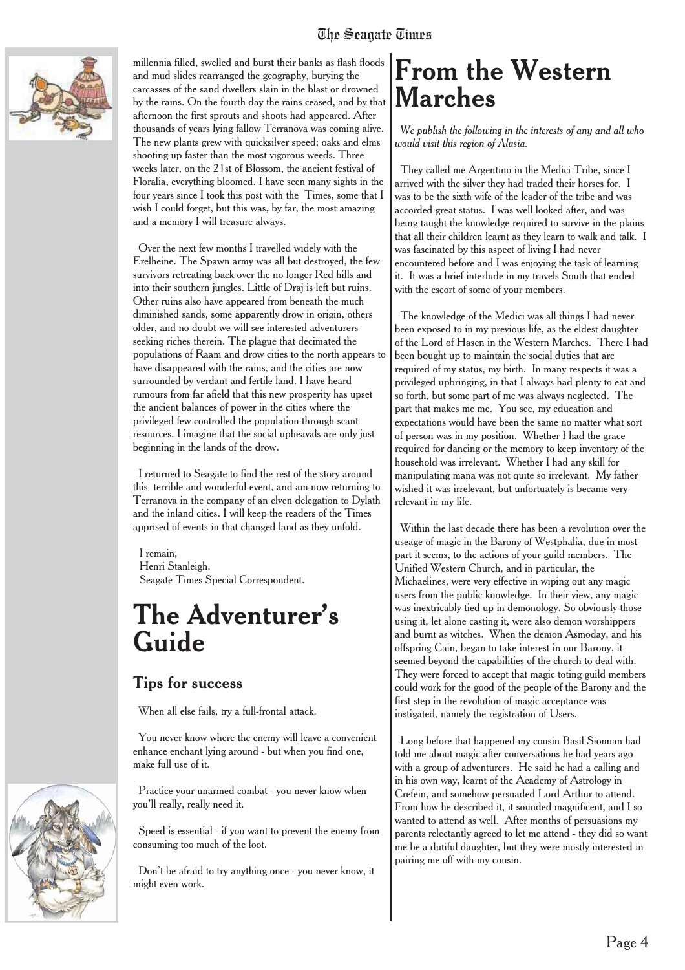

millennia filled, swelled and burst their banks as flash floods and mud slides rearranged the geography, burying the carcasses of the sand dwellers slain in the blast or drowned by the rains. On the fourth day the rains ceased, and by that afternoon the first sprouts and shoots had appeared. After thousands of years lying fallow Terranova was coming alive. The new plants grew with quicksilver speed; oaks and elms shooting up faster than the most vigorous weeds. Three weeks later, on the 21st of Blossom, the ancient festival of Floralia, everything bloomed. I have seen many sights in the four years since I took this post with the Times, some that I wish I could forget, but this was, by far, the most amazing and a memory I will treasure always.

Over the next few months I travelled widely with the Erelheine. The Spawn army was all but destroyed, the few survivors retreating back over the no longer Red hills and into their southern jungles. Little of Draj is left but ruins. Other ruins also have appeared from beneath the much diminished sands, some apparently drow in origin, others older, and no doubt we will see interested adventurers seeking riches therein. The plague that decimated the populations of Raam and drow cities to the north appears to have disappeared with the rains, and the cities are now surrounded by verdant and fertile land. I have heard rumours from far afield that this new prosperity has upset the ancient balances of power in the cities where the privileged few controlled the population through scant resources. I imagine that the social upheavals are only just beginning in the lands of the drow.

I returned to Seagate to find the rest of the story around this terrible and wonderful event, and am now returning to Terranova in the company of an elven delegation to Dylath and the inland cities. I will keep the readers of the Times apprised of events in that changed land as they unfold.

I remain, Henri Stanleigh. Seagate Times Special Correspondent.

## **The Adventurer's Guide**

#### Tips for success

When all else fails, try a full-frontal attack.

You never know where the enemy will leave a convenient enhance enchant lying around - but when you find one, make full use of it.

Practice your unarmed combat - you never know when you'll really, really need it.

Speed is essential - if you want to prevent the enemy from consuming too much of the loot.

Don't be afraid to try anything once - you never know, it might even work.

## **From the Western Marches**

*We publish the following in the interests of any and all who would visit this region of Alusia.*

They called me Argentino in the Medici Tribe, since I arrived with the silver they had traded their horses for. I was to be the sixth wife of the leader of the tribe and was accorded great status. I was well looked after, and was being taught the knowledge required to survive in the plains that all their children learnt as they learn to walk and talk. I was fascinated by this aspect of living I had never encountered before and I was enjoying the task of learning it. It was a brief interlude in my travels South that ended with the escort of some of your members.

The knowledge of the Medici was all things I had never been exposed to in my previous life, as the eldest daughter of the Lord of Hasen in the Western Marches. There I had been bought up to maintain the social duties that are required of my status, my birth. In many respects it was a privileged upbringing, in that I always had plenty to eat and so forth, but some part of me was always neglected. The part that makes me me. You see, my education and expectations would have been the same no matter what sort of person was in my position. Whether I had the grace required for dancing or the memory to keep inventory of the household was irrelevant. Whether I had any skill for manipulating mana was not quite so irrelevant. My father wished it was irrelevant, but unfortuately is became very relevant in my life.

Within the last decade there has been a revolution over the useage of magic in the Barony of Westphalia, due in most part it seems, to the actions of your guild members. The Unified Western Church, and in particular, the Michaelines, were very effective in wiping out any magic users from the public knowledge. In their view, any magic was inextricably tied up in demonology. So obviously those using it, let alone casting it, were also demon worshippers and burnt as witches. When the demon Asmoday, and his offspring Cain, began to take interest in our Barony, it seemed beyond the capabilities of the church to deal with. They were forced to accept that magic toting guild members could work for the good of the people of the Barony and the first step in the revolution of magic acceptance was instigated, namely the registration of Users.

Long before that happened my cousin Basil Sionnan had told me about magic after conversations he had years ago with a group of adventurers. He said he had a calling and in his own way, learnt of the Academy of Astrology in Crefein, and somehow persuaded Lord Arthur to attend. From how he described it, it sounded magnificent, and I so wanted to attend as well. After months of persuasions my parents relectantly agreed to let me attend - they did so want me be a dutiful daughter, but they were mostly interested in pairing me off with my cousin.

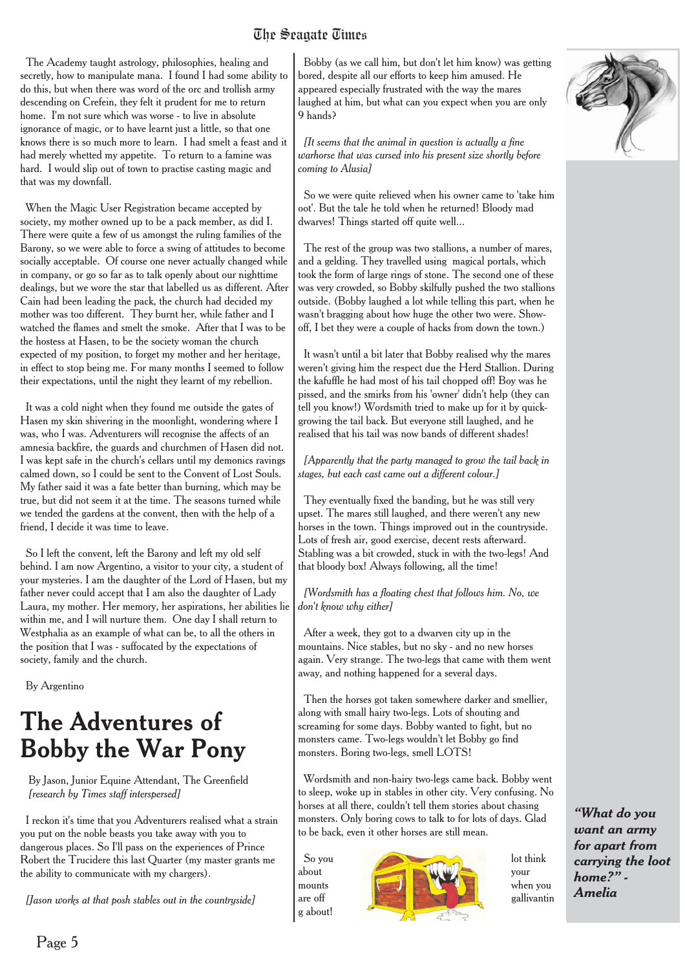The Academy taught astrology, philosophies, healing and secretly, how to manipulate mana. I found I had some ability to do this, but when there was word of the orc and trollish army descending on Crefein, they felt it prudent for me to return home. I'm not sure which was worse - to live in absolute ignorance of magic, or to have learnt just a little, so that one knows there is so much more to learn. I had smelt a feast and it had merely whetted my appetite. To return to a famine was hard. I would slip out of town to practise casting magic and that was my downfall.

When the Magic User Registration became accepted by society, my mother owned up to be a pack member, as did I. There were quite a few of us amongst the ruling families of the Barony, so we were able to force a swing of attitudes to become socially acceptable. Of course one never actually changed while in company, or go so far as to talk openly about our nighttime dealings, but we wore the star that labelled us as different. After Cain had been leading the pack, the church had decided my mother was too different. They burnt her, while father and I watched the flames and smelt the smoke. After that I was to be the hostess at Hasen, to be the society woman the church expected of my position, to forget my mother and her heritage, in effect to stop being me. For many months I seemed to follow their expectations, until the night they learnt of my rebellion.

It was a cold night when they found me outside the gates of Hasen my skin shivering in the moonlight, wondering where I was, who I was. Adventurers will recognise the affects of an amnesia backfire, the guards and churchmen of Hasen did not. I was kept safe in the church's cellars until my demonics ravings calmed down, so I could be sent to the Convent of Lost Souls. My father said it was a fate better than burning, which may be true, but did not seem it at the time. The seasons turned while we tended the gardens at the convent, then with the help of a friend, I decide it was time to leave.

So I left the convent, left the Barony and left my old self behind. I am now Argentino, a visitor to your city, a student of your mysteries. I am the daughter of the Lord of Hasen, but my father never could accept that I am also the daughter of Lady Laura, my mother. Her memory, her aspirations, her abilities lie within me, and I will nurture them. One day I shall return to Westphalia as an example of what can be, to all the others in the position that I was - suffocated by the expectations of society, family and the church.

By Argentino

### **The Adventures of Bobby the War Pony**

By Jason, Junior Equine Attendant, The Greenfield *[research by Times staff interspersed]*

I reckon it's time that you Adventurers realised what a strain you put on the noble beasts you take away with you to dangerous places. So I'll pass on the experiences of Prince Robert the Trucidere this last Quarter (my master grants me the ability to communicate with my chargers).

*[Jason works at that posh stables out in the countryside]*

Bobby (as we call him, but don't let him know) was getting bored, despite all our efforts to keep him amused. He appeared especially frustrated with the way the mares laughed at him, but what can you expect when you are only 9 hands?

*[It seems that the animal in question is actually a fine warhorse that was cursed into his present size shortly before coming to Alusia]*

So we were quite relieved when his owner came to 'take him oot'. But the tale he told when he returned! Bloody mad dwarves! Things started off quite well...

The rest of the group was two stallions, a number of mares, and a gelding. They travelled using magical portals, which took the form of large rings of stone. The second one of these was very crowded, so Bobby skilfully pushed the two stallions outside. (Bobby laughed a lot while telling this part, when he wasn't bragging about how huge the other two were. Showoff, I bet they were a couple of hacks from down the town.)

It wasn't until a bit later that Bobby realised why the mares weren't giving him the respect due the Herd Stallion. During the kafuffle he had most of his tail chopped off! Boy was he pissed, and the smirks from his 'owner' didn't help (they can tell you know!) Wordsmith tried to make up for it by quickgrowing the tail back. But everyone still laughed, and he realised that his tail was now bands of different shades!

*[Apparently that the party managed to grow the tail back in stages, but each cast came out a different colour.]*

They eventually fixed the banding, but he was still very upset. The mares still laughed, and there weren't any new horses in the town. Things improved out in the countryside. Lots of fresh air, good exercise, decent rests afterward. Stabling was a bit crowded, stuck in with the two-legs! And that bloody box! Always following, all the time!

*[Wordsmith has a floating chest that follows him. No, we don't know why either]*

After a week, they got to a dwarven city up in the mountains. Nice stables, but no sky - and no new horses again. Very strange. The two-legs that came with them went away, and nothing happened for a several days.

Then the horses got taken somewhere darker and smellier, along with small hairy two-legs. Lots of shouting and screaming for some days. Bobby wanted to fight, but no monsters came. Two-legs wouldn't let Bobby go find monsters. Boring two-legs, smell LOTS!

Wordsmith and non-hairy two-legs came back. Bobby went to sleep, woke up in stables in other city. Very confusing. No horses at all there, couldn't tell them stories about chasing monsters. Only boring cows to talk to for lots of days. Glad to be back, even it other horses are still mean.

g about!





*"What do you want an army for apart from carrying the loot home?" - Amelia*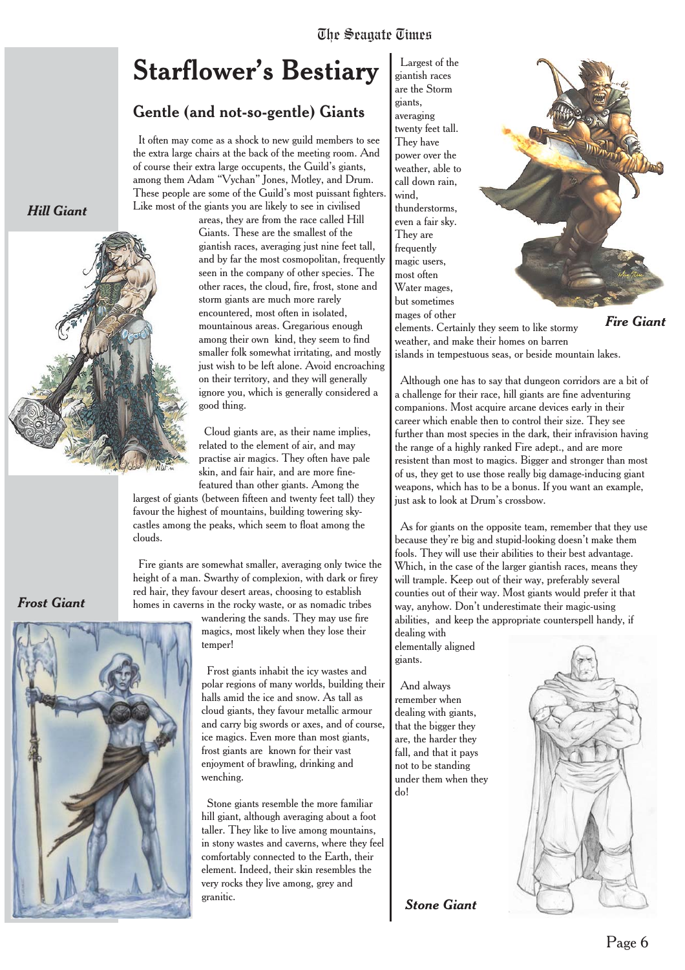## **Starflower's Bestiary**

#### Gentle (and not-so-gentle) Giants

It often may come as a shock to new guild members to see the extra large chairs at the back of the meeting room. And of course their extra large occupents, the Guild's giants, among them Adam "Vychan" Jones, Motley, and Drum. These people are some of the Guild's most puissant fighters. Like most of the giants you are likely to see in civilised

areas, they are from the race called Hill Giants. These are the smallest of the giantish races, averaging just nine feet tall, and by far the most cosmopolitan, frequently seen in the company of other species. The other races, the cloud, fire, frost, stone and storm giants are much more rarely encountered, most often in isolated, mountainous areas. Gregarious enough among their own kind, they seem to find smaller folk somewhat irritating, and mostly just wish to be left alone. Avoid encroaching on their territory, and they will generally ignore you, which is generally considered a good thing.

Cloud giants are, as their name implies, related to the element of air, and may practise air magics. They often have pale skin, and fair hair, and are more finefeatured than other giants. Among the

largest of giants (between fifteen and twenty feet tall) they favour the highest of mountains, building towering skycastles among the peaks, which seem to float among the clouds.

Fire giants are somewhat smaller, averaging only twice the height of a man. Swarthy of complexion, with dark or firey red hair, they favour desert areas, choosing to establish homes in caverns in the rocky waste, or as nomadic tribes

> wandering the sands. They may use fire magics, most likely when they lose their temper!

Frost giants inhabit the icy wastes and polar regions of many worlds, building their halls amid the ice and snow. As tall as cloud giants, they favour metallic armour and carry big swords or axes, and of course, ice magics. Even more than most giants, frost giants are known for their vast enjoyment of brawling, drinking and wenching.

Stone giants resemble the more familiar hill giant, although averaging about a foot taller. They like to live among mountains, in stony wastes and caverns, where they feel comfortably connected to the Earth, their element. Indeed, their skin resembles the very rocks they live among, grey and granitic.

Largest of the giantish races are the Storm giants, averaging twenty feet tall. They have power over the weather, able to call down rain, wind, thunderstorms, even a fair sky. They are frequently magic users, most often Water mages, but sometimes mages of other



elements. Certainly they seem to like stormy weather, and make their homes on barren islands in tempestuous seas, or beside mountain lakes. *Fire Giant*

Although one has to say that dungeon corridors are a bit of a challenge for their race, hill giants are fine adventuring companions. Most acquire arcane devices early in their career which enable then to control their size. They see further than most species in the dark, their infravision having the range of a highly ranked Fire adept., and are more resistent than most to magics. Bigger and stronger than most of us, they get to use those really big damage-inducing giant weapons, which has to be a bonus. If you want an example, just ask to look at Drum's crossbow.

As for giants on the opposite team, remember that they use because they're big and stupid-looking doesn't make them fools. They will use their abilities to their best advantage. Which, in the case of the larger giantish races, means they will trample. Keep out of their way, preferably several counties out of their way. Most giants would prefer it that way, anyhow. Don't underestimate their magic-using abilities, and keep the appropriate counterspell handy, if

dealing with elementally aligned giants.

And always remember when dealing with giants, that the bigger they are, the harder they fall, and that it pays not to be standing under them when they do!

*Stone Giant*



## *Hill Giant*



*Frost Giant*

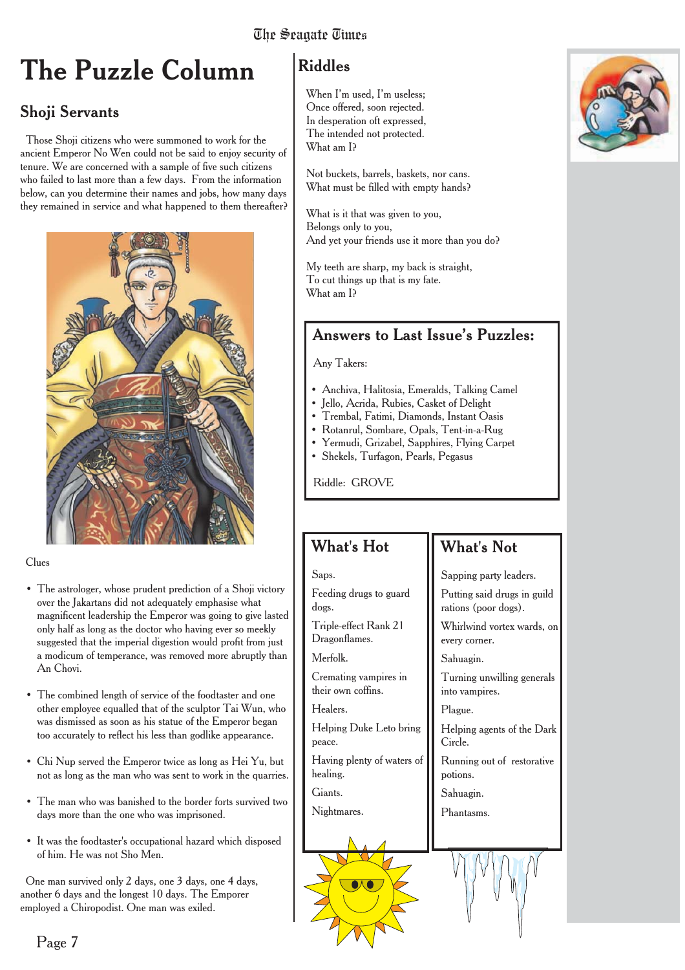## **The Puzzle Column**

#### Shoji Servants

Those Shoji citizens who were summoned to work for the ancient Emperor No Wen could not be said to enjoy security of tenure. We are concerned with a sample of five such citizens who failed to last more than a few days. From the information below, can you determine their names and jobs, how many days they remained in service and what happened to them thereafter?



Clues

- The astrologer, whose prudent prediction of a Shoji victory over the Jakartans did not adequately emphasise what magnificent leadership the Emperor was going to give lasted only half as long as the doctor who having ever so meekly suggested that the imperial digestion would profit from just a modicum of temperance, was removed more abruptly than An Chovi.
- The combined length of service of the foodtaster and one other employee equalled that of the sculptor Tai Wun, who was dismissed as soon as his statue of the Emperor began too accurately to reflect his less than godlike appearance.
- Chi Nup served the Emperor twice as long as Hei Yu, but not as long as the man who was sent to work in the quarries.
- The man who was banished to the border forts survived two days more than the one who was imprisoned.
- It was the foodtaster's occupational hazard which disposed of him. He was not Sho Men.

One man survived only 2 days, one 3 days, one 4 days, another 6 days and the longest 10 days. The Emporer employed a Chiropodist. One man was exiled.

#### Riddles

When I'm used, I'm useless; Once offered, soon rejected. In desperation oft expressed, The intended not protected. What am I?

Not buckets, barrels, baskets, nor cans. What must be filled with empty hands?

What is it that was given to you, Belongs only to you, And yet your friends use it more than you do?

My teeth are sharp, my back is straight, To cut things up that is my fate. What am I?

#### Answers to Last Issue's Puzzles:

Any Takers:

- Anchiva, Halitosia, Emeralds, Talking Camel
- Jello, Acrida, Rubies, Casket of Delight
- Trembal, Fatimi, Diamonds, Instant Oasis
- Rotanrul, Sombare, Opals, Tent-in-a-Rug
- Yermudi, Grizabel, Sapphires, Flying Carpet
- Shekels, Turfagon, Pearls, Pegasus

Riddle: GROVE

#### What's Hot

Feeding drugs to guard

Triple-effect Rank 21 Dragonflames. Merfolk.

Cremating vampires in their own coffins.

Helping Duke Leto bring

Having plenty of waters of

Saps.

dogs.

Healers.

peace.

healing. Giants. Nightmares.

#### What's Not

Sapping party leaders.

Putting said drugs in guild rations (poor dogs).

> Whirlwind vortex wards, on every corner.

Sahuagin.

Turning unwilling generals into vampires.

Plague.

Helping agents of the Dark Circle.

Running out of restorative potions.

Sahuagin.

Phantasms.